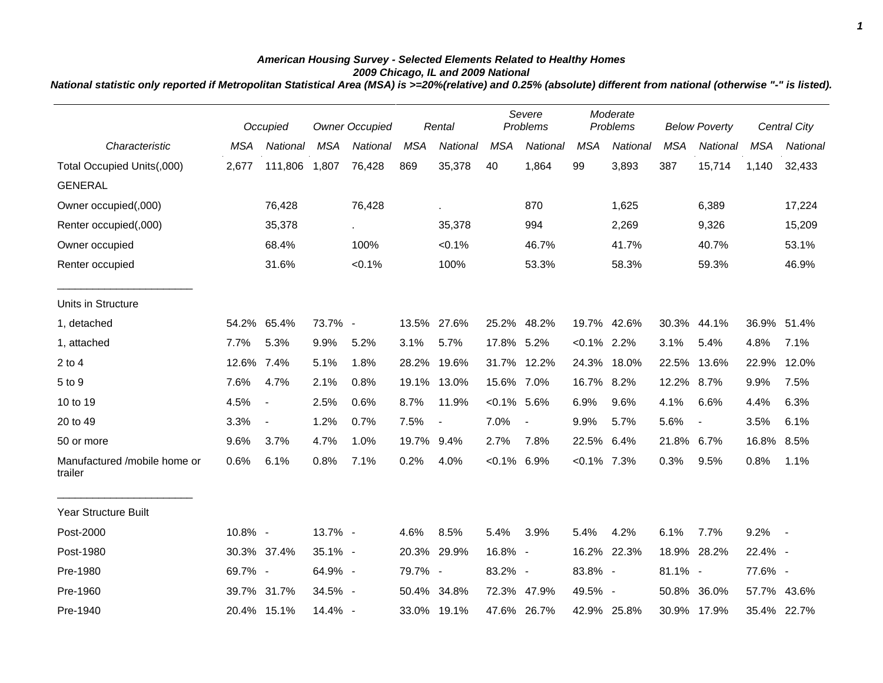## *American Housing Survey - Selected Elements Related to Healthy Homes 2009 Chicago, IL and 2009 National*

*National statistic only reported if Metropolitan Statistical Area (MSA) is >=20%(relative) and 0.25% (absolute) different from national (otherwise "-" is listed).*

|                                         |            | <b>Owner Occupied</b><br>Occupied |            |           | Rental     |                | Severe<br>Problems |                | Moderate<br>Problems |             | <b>Below Poverty</b> |                          |            | <b>Central City</b> |
|-----------------------------------------|------------|-----------------------------------|------------|-----------|------------|----------------|--------------------|----------------|----------------------|-------------|----------------------|--------------------------|------------|---------------------|
| Characteristic                          | <b>MSA</b> | National                          | <b>MSA</b> | National  | <b>MSA</b> | National       | <b>MSA</b>         | National       | <b>MSA</b>           | National    | <b>MSA</b>           | National                 | <b>MSA</b> | National            |
| Total Occupied Units(,000)              | 2,677      | 111,806                           | 1,807      | 76,428    | 869        | 35,378         | 40                 | 1,864          | 99                   | 3,893       | 387                  | 15,714                   | 1,140      | 32,433              |
| <b>GENERAL</b>                          |            |                                   |            |           |            |                |                    |                |                      |             |                      |                          |            |                     |
| Owner occupied(,000)                    |            | 76,428                            |            | 76,428    |            | ä,             |                    | 870            |                      | 1,625       |                      | 6,389                    |            | 17,224              |
| Renter occupied(,000)                   |            | 35,378                            |            | $\sim$    |            | 35,378         |                    | 994            |                      | 2,269       |                      | 9,326                    |            | 15,209              |
| Owner occupied                          |            | 68.4%                             |            | 100%      |            | $< 0.1\%$      |                    | 46.7%          |                      | 41.7%       |                      | 40.7%                    |            | 53.1%               |
| Renter occupied                         |            | 31.6%                             |            | $< 0.1\%$ |            | 100%           |                    | 53.3%          |                      | 58.3%       |                      | 59.3%                    |            | 46.9%               |
| Units in Structure                      |            |                                   |            |           |            |                |                    |                |                      |             |                      |                          |            |                     |
| 1, detached                             | 54.2%      | 65.4%                             | 73.7% -    |           |            | 13.5% 27.6%    |                    | 25.2% 48.2%    |                      | 19.7% 42.6% |                      | 30.3% 44.1%              |            | 36.9% 51.4%         |
| 1, attached                             | 7.7%       | 5.3%                              | 9.9%       | 5.2%      | 3.1%       | 5.7%           | 17.8% 5.2%         |                | $< 0.1\%$ 2.2%       |             | 3.1%                 | 5.4%                     | 4.8%       | 7.1%                |
| $2$ to $4$                              | 12.6% 7.4% |                                   | 5.1%       | 1.8%      | 28.2%      | 19.6%          |                    | 31.7% 12.2%    |                      | 24.3% 18.0% | 22.5%                | 13.6%                    | 22.9%      | 12.0%               |
| 5 to 9                                  | 7.6%       | 4.7%                              | 2.1%       | 0.8%      |            | 19.1% 13.0%    | 15.6% 7.0%         |                | 16.7% 8.2%           |             | 12.2% 8.7%           |                          | 9.9%       | 7.5%                |
| 10 to 19                                | 4.5%       | $\blacksquare$                    | 2.5%       | 0.6%      | 8.7%       | 11.9%          | $< 0.1\%$ 5.6%     |                | 6.9%                 | 9.6%        | 4.1%                 | 6.6%                     | 4.4%       | 6.3%                |
| 20 to 49                                | 3.3%       | $\blacksquare$                    | 1.2%       | 0.7%      | 7.5%       | $\blacksquare$ | 7.0%               | $\blacksquare$ | 9.9%                 | 5.7%        | 5.6%                 | $\overline{\phantom{a}}$ | 3.5%       | 6.1%                |
| 50 or more                              | 9.6%       | 3.7%                              | 4.7%       | 1.0%      | 19.7% 9.4% |                | 2.7%               | 7.8%           | 22.5%                | 6.4%        | 21.8% 6.7%           |                          | 16.8%      | 8.5%                |
| Manufactured /mobile home or<br>trailer | 0.6%       | 6.1%                              | 0.8%       | 7.1%      | 0.2%       | 4.0%           | $< 0.1\%$ 6.9%     |                | $< 0.1\%$ 7.3%       |             | 0.3%                 | 9.5%                     | 0.8%       | 1.1%                |
| <b>Year Structure Built</b>             |            |                                   |            |           |            |                |                    |                |                      |             |                      |                          |            |                     |
| Post-2000                               | 10.8% -    |                                   | 13.7% -    |           | 4.6%       | 8.5%           | 5.4%               | 3.9%           | 5.4%                 | 4.2%        | 6.1%                 | 7.7%                     | 9.2%       | $\sim$ $-$          |
| Post-1980                               |            | 30.3% 37.4%                       | 35.1% -    |           |            | 20.3% 29.9%    | 16.8% -            |                | 16.2%                | 22.3%       |                      | 18.9% 28.2%              | 22.4% -    |                     |
| Pre-1980                                | 69.7% -    |                                   | 64.9% -    |           | 79.7% -    |                | 83.2% -            |                | 83.8% -              |             | $81.1\%$ -           |                          | 77.6% -    |                     |
| Pre-1960                                | 39.7%      | 31.7%                             | 34.5% -    |           |            | 50.4% 34.8%    |                    | 72.3% 47.9%    | 49.5% -              |             | 50.8%                | 36.0%                    |            | 57.7% 43.6%         |
| Pre-1940                                |            | 20.4% 15.1%                       | 14.4% -    |           |            | 33.0% 19.1%    |                    | 47.6% 26.7%    |                      | 42.9% 25.8% |                      | 30.9% 17.9%              |            | 35.4% 22.7%         |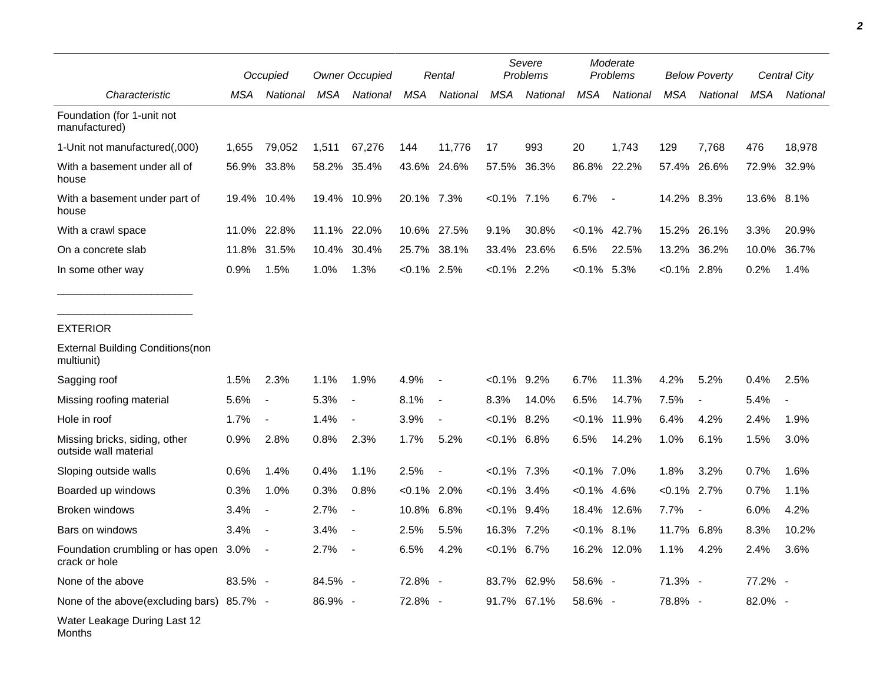|                                                        |         | Occupied                 |         | <b>Owner Occupied</b>    |                | Rental                   |                | Severe<br>Problems |                | Moderate<br>Problems |                | <b>Below Poverty</b>     |            | Central City             |
|--------------------------------------------------------|---------|--------------------------|---------|--------------------------|----------------|--------------------------|----------------|--------------------|----------------|----------------------|----------------|--------------------------|------------|--------------------------|
| Characteristic                                         | MSA     | National                 | MSA     | National                 | <b>MSA</b>     | <b>National</b>          | <b>MSA</b>     | National           | <b>MSA</b>     | National             | <b>MSA</b>     | National                 | <b>MSA</b> | National                 |
| Foundation (for 1-unit not<br>manufactured)            |         |                          |         |                          |                |                          |                |                    |                |                      |                |                          |            |                          |
| 1-Unit not manufactured(,000)                          | 1,655   | 79,052                   | 1,511   | 67,276                   | 144            | 11,776                   | 17             | 993                | 20             | 1,743                | 129            | 7,768                    | 476        | 18,978                   |
| With a basement under all of<br>house                  | 56.9%   | 33.8%                    |         | 58.2% 35.4%              |                | 43.6% 24.6%              | 57.5%          | 36.3%              | 86.8%          | 22.2%                | 57.4%          | 26.6%                    | 72.9%      | 32.9%                    |
| With a basement under part of<br>house                 |         | 19.4% 10.4%              |         | 19.4% 10.9%              | 20.1% 7.3%     |                          | $< 0.1\%$ 7.1% |                    | 6.7%           | $\sim$ $-$           | 14.2% 8.3%     |                          | 13.6% 8.1% |                          |
| With a crawl space                                     | 11.0%   | 22.8%                    | 11.1%   | 22.0%                    |                | 10.6% 27.5%              | 9.1%           | 30.8%              | $< 0.1\%$      | 42.7%                | 15.2%          | 26.1%                    | 3.3%       | 20.9%                    |
| On a concrete slab                                     | 11.8%   | 31.5%                    | 10.4%   | 30.4%                    | 25.7%          | 38.1%                    | 33.4%          | 23.6%              | 6.5%           | 22.5%                | 13.2%          | 36.2%                    | 10.0%      | 36.7%                    |
| In some other way                                      | 0.9%    | 1.5%                     | 1.0%    | 1.3%                     | $< 0.1\%$ 2.5% |                          | $< 0.1\%$ 2.2% |                    | $< 0.1\%$      | 5.3%                 | $< 0.1\%$ 2.8% |                          | 0.2%       | 1.4%                     |
| <b>EXTERIOR</b>                                        |         |                          |         |                          |                |                          |                |                    |                |                      |                |                          |            |                          |
| <b>External Building Conditions (non</b><br>multiunit) |         |                          |         |                          |                |                          |                |                    |                |                      |                |                          |            |                          |
| Sagging roof                                           | 1.5%    | 2.3%                     | 1.1%    | 1.9%                     | 4.9%           | $\overline{\phantom{a}}$ | $< 0.1\%$ 9.2% |                    | 6.7%           | 11.3%                | 4.2%           | 5.2%                     | 0.4%       | 2.5%                     |
| Missing roofing material                               | 5.6%    | $\overline{\phantom{a}}$ | 5.3%    | $\overline{\phantom{a}}$ | 8.1%           | $\overline{\phantom{a}}$ | 8.3%           | 14.0%              | 6.5%           | 14.7%                | 7.5%           | $\overline{\phantom{a}}$ | 5.4%       | $\overline{\phantom{a}}$ |
| Hole in roof                                           | 1.7%    | $\overline{a}$           | 1.4%    |                          | 3.9%           | $\blacksquare$           | $< 0.1\%$ 8.2% |                    | $< 0.1\%$      | 11.9%                | 6.4%           | 4.2%                     | 2.4%       | 1.9%                     |
| Missing bricks, siding, other<br>outside wall material | 0.9%    | 2.8%                     | 0.8%    | 2.3%                     | 1.7%           | 5.2%                     | $< 0.1\%$ 6.8% |                    | 6.5%           | 14.2%                | 1.0%           | 6.1%                     | 1.5%       | 3.0%                     |
| Sloping outside walls                                  | 0.6%    | 1.4%                     | 0.4%    | 1.1%                     | 2.5%           | $\overline{\phantom{a}}$ | $<0.1\%$ 7.3%  |                    | $< 0.1\%$ 7.0% |                      | 1.8%           | 3.2%                     | 0.7%       | 1.6%                     |
| Boarded up windows                                     | 0.3%    | 1.0%                     | 0.3%    | 0.8%                     | $< 0.1\%$      | 2.0%                     | $< 0.1\%$ 3.4% |                    | $< 0.1\%$      | 4.6%                 | $< 0.1\%$      | 2.7%                     | 0.7%       | 1.1%                     |
| Broken windows                                         | 3.4%    | $\blacksquare$           | 2.7%    | $\blacksquare$           | 10.8% 6.8%     |                          | $< 0.1\%$ 9.4% |                    | 18.4%          | 12.6%                | 7.7%           | $\blacksquare$           | 6.0%       | 4.2%                     |
| Bars on windows                                        | 3.4%    |                          | 3.4%    |                          | 2.5%           | 5.5%                     | 16.3% 7.2%     |                    | $<0.1\%$ 8.1%  |                      | 11.7%          | 6.8%                     | 8.3%       | 10.2%                    |
| Foundation crumbling or has open 3.0%<br>crack or hole |         |                          | 2.7%    |                          | 6.5%           | 4.2%                     | $< 0.1\%$ 6.7% |                    |                | 16.2% 12.0%          | 1.1%           | 4.2%                     | 2.4%       | 3.6%                     |
| None of the above                                      | 83.5% - |                          | 84.5% - |                          | 72.8% -        |                          |                | 83.7% 62.9%        | 58.6% -        |                      | 71.3% -        |                          | 77.2% -    |                          |
| None of the above(excluding bars) 85.7% -              |         |                          | 86.9% - |                          | 72.8% -        |                          |                | 91.7% 67.1%        | 58.6% -        |                      | 78.8% -        |                          | 82.0% -    |                          |
| Water Leakage During Last 12<br>Months                 |         |                          |         |                          |                |                          |                |                    |                |                      |                |                          |            |                          |

*2*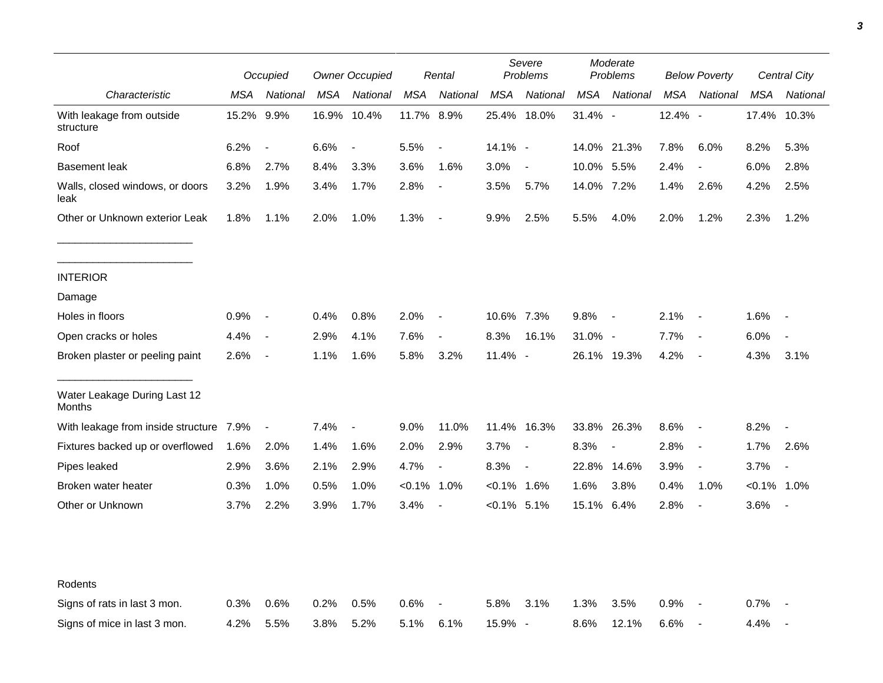|                                         |       | Occupied                 |      | <b>Owner Occupied</b> |            | Rental                   |                | Severe<br>Problems       |            | Moderate<br>Problems     |            | <b>Below Poverty</b>     |            | Central City   |
|-----------------------------------------|-------|--------------------------|------|-----------------------|------------|--------------------------|----------------|--------------------------|------------|--------------------------|------------|--------------------------|------------|----------------|
| Characteristic                          | MSA   | National                 | MSA  | National              | MSA        | National                 | <b>MSA</b>     | National                 | MSA        | National                 | <b>MSA</b> | National                 | <b>MSA</b> | National       |
| With leakage from outside<br>structure  | 15.2% | 9.9%                     |      | 16.9% 10.4%           | 11.7% 8.9% |                          |                | 25.4% 18.0%              | 31.4% -    |                          | 12.4% -    |                          |            | 17.4% 10.3%    |
| Roof                                    | 6.2%  | $\overline{\phantom{a}}$ | 6.6% | $\blacksquare$        | 5.5%       | $\overline{\phantom{a}}$ | 14.1% -        |                          |            | 14.0% 21.3%              | 7.8%       | 6.0%                     | 8.2%       | 5.3%           |
| <b>Basement leak</b>                    | 6.8%  | 2.7%                     | 8.4% | 3.3%                  | 3.6%       | 1.6%                     | 3.0%           | $\overline{\phantom{a}}$ | 10.0% 5.5% |                          | 2.4%       | $\overline{\phantom{a}}$ | 6.0%       | 2.8%           |
| Walls, closed windows, or doors<br>leak | 3.2%  | 1.9%                     | 3.4% | 1.7%                  | 2.8%       | $\overline{\phantom{a}}$ | 3.5%           | 5.7%                     | 14.0% 7.2% |                          | 1.4%       | 2.6%                     | 4.2%       | 2.5%           |
| Other or Unknown exterior Leak          | 1.8%  | 1.1%                     | 2.0% | 1.0%                  | 1.3%       | $\overline{\phantom{a}}$ | 9.9%           | 2.5%                     | 5.5%       | 4.0%                     | 2.0%       | 1.2%                     | 2.3%       | 1.2%           |
| <b>INTERIOR</b>                         |       |                          |      |                       |            |                          |                |                          |            |                          |            |                          |            |                |
| Damage                                  |       |                          |      |                       |            |                          |                |                          |            |                          |            |                          |            |                |
| Holes in floors                         | 0.9%  | $\blacksquare$           | 0.4% | 0.8%                  | 2.0%       | $\overline{\phantom{a}}$ | 10.6% 7.3%     |                          | 9.8%       | $\blacksquare$           | 2.1%       | $\sim$ $-$               | 1.6%       |                |
| Open cracks or holes                    | 4.4%  | $\sim$ $-$               | 2.9% | 4.1%                  | 7.6%       | $\blacksquare$           | 8.3%           | 16.1%                    | 31.0% -    |                          | 7.7%       | $\sim$ $-$               | 6.0%       | $\blacksquare$ |
| Broken plaster or peeling paint         | 2.6%  | $\sim$                   | 1.1% | 1.6%                  | 5.8%       | 3.2%                     | 11.4% -        |                          |            | 26.1% 19.3%              | 4.2%       | $\sim$                   | 4.3%       | 3.1%           |
| Water Leakage During Last 12<br>Months  |       |                          |      |                       |            |                          |                |                          |            |                          |            |                          |            |                |
| With leakage from inside structure 7.9% |       | $\blacksquare$           | 7.4% | $\blacksquare$        | 9.0%       | 11.0%                    |                | 11.4% 16.3%              |            | 33.8% 26.3%              | 8.6%       | $\sim$                   | 8.2%       |                |
| Fixtures backed up or overflowed        | 1.6%  | 2.0%                     | 1.4% | 1.6%                  | 2.0%       | 2.9%                     | 3.7%           | $\sim$                   | 8.3%       | $\overline{\phantom{a}}$ | 2.8%       | $\overline{\phantom{a}}$ | 1.7%       | 2.6%           |
| Pipes leaked                            | 2.9%  | 3.6%                     | 2.1% | 2.9%                  | 4.7%       | $\overline{\phantom{a}}$ | 8.3%           | $\overline{\phantom{a}}$ | 22.8%      | 14.6%                    | 3.9%       | $\blacksquare$           | 3.7%       |                |
| Broken water heater                     | 0.3%  | 1.0%                     | 0.5% | 1.0%                  | $< 0.1\%$  | 1.0%                     | $< 0.1\%$ 1.6% |                          | 1.6%       | 3.8%                     | 0.4%       | 1.0%                     | $< 0.1\%$  | 1.0%           |
| Other or Unknown                        | 3.7%  | 2.2%                     | 3.9% | 1.7%                  | 3.4%       | $\overline{\phantom{a}}$ | $< 0.1\%$ 5.1% |                          | 15.1% 6.4% |                          | 2.8%       | $\blacksquare$           | 3.6%       |                |
| Rodents                                 |       |                          |      |                       |            |                          |                |                          |            |                          |            |                          |            |                |
| Signs of rats in last 3 mon.            | 0.3%  | 0.6%                     | 0.2% | 0.5%                  | 0.6%       |                          | 5.8%           | 3.1%                     | 1.3%       | 3.5%                     | 0.9%       |                          | 0.7%       |                |
| Signs of mice in last 3 mon.            | 4.2%  | 5.5%                     | 3.8% | 5.2%                  | 5.1%       | 6.1%                     | 15.9% -        |                          | 8.6%       | 12.1%                    | 6.6%       | $\blacksquare$           | 4.4%       |                |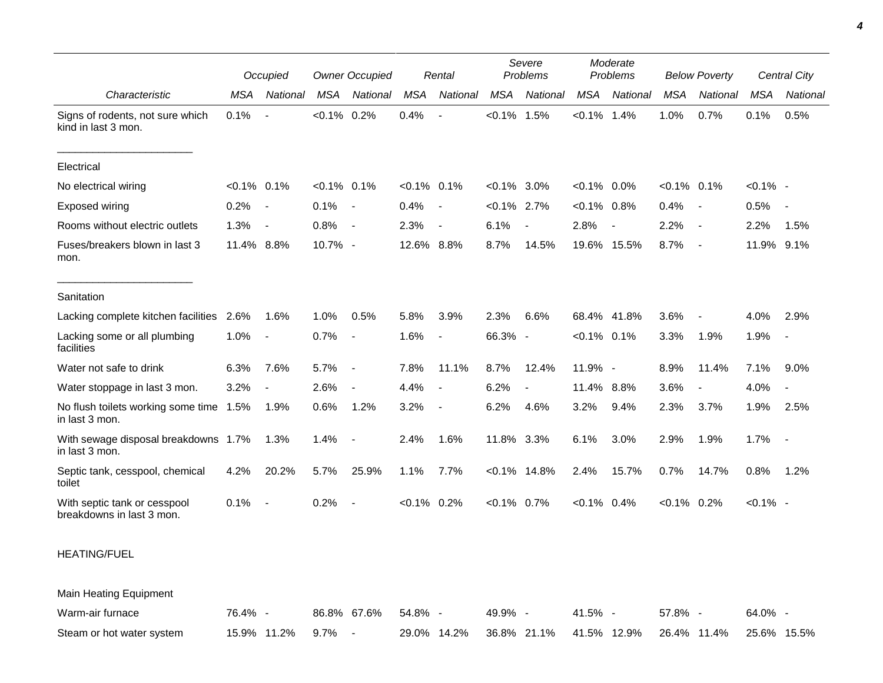|                                                           |                | Occupied                 |                | <b>Owner Occupied</b>    |                | Rental                   |                | Severe<br>Problems       |                | Moderate<br>Problems |                | <b>Below Poverty</b>     |             | <b>Central City</b>      |
|-----------------------------------------------------------|----------------|--------------------------|----------------|--------------------------|----------------|--------------------------|----------------|--------------------------|----------------|----------------------|----------------|--------------------------|-------------|--------------------------|
| Characteristic                                            | <b>MSA</b>     | National                 | MSA            | National                 | <b>MSA</b>     | National                 | <b>MSA</b>     | National                 | <b>MSA</b>     | National             | <b>MSA</b>     | National                 | <b>MSA</b>  | National                 |
| Signs of rodents, not sure which<br>kind in last 3 mon.   | 0.1%           |                          | $< 0.1\%$ 0.2% |                          | 0.4%           |                          | $< 0.1\%$      | 1.5%                     | $< 0.1\%$ 1.4% |                      | 1.0%           | 0.7%                     | 0.1%        | 0.5%                     |
| Electrical                                                |                |                          |                |                          |                |                          |                |                          |                |                      |                |                          |             |                          |
| No electrical wiring                                      | $< 0.1\%$ 0.1% |                          | $< 0.1\%$ 0.1% |                          | $< 0.1\%$ 0.1% |                          | $<0.1\%$ 3.0%  |                          | $< 0.1\%$ 0.0% |                      | $< 0.1\%$ 0.1% |                          | $< 0.1\%$ - |                          |
| Exposed wiring                                            | 0.2%           | $\overline{\phantom{a}}$ | 0.1%           | $\sim$ $-$               | 0.4%           |                          | $< 0.1\%$ 2.7% |                          | $< 0.1\%$ 0.8% |                      | 0.4%           | $\overline{\phantom{a}}$ | 0.5%        | $\blacksquare$           |
| Rooms without electric outlets                            | 1.3%           | $\blacksquare$           | 0.8%           | $\sim$ $-$               | 2.3%           |                          | 6.1%           | $\overline{a}$           | 2.8%           |                      | 2.2%           | $\overline{\phantom{a}}$ | 2.2%        | 1.5%                     |
| Fuses/breakers blown in last 3<br>mon.                    | 11.4% 8.8%     |                          | 10.7% -        |                          | 12.6% 8.8%     |                          | 8.7%           | 14.5%                    | 19.6% 15.5%    |                      | 8.7%           | $\overline{\phantom{a}}$ | 11.9%       | 9.1%                     |
| Sanitation                                                |                |                          |                |                          |                |                          |                |                          |                |                      |                |                          |             |                          |
| Lacking complete kitchen facilities                       | 2.6%           | 1.6%                     | 1.0%           | 0.5%                     | 5.8%           | 3.9%                     | 2.3%           | 6.6%                     | 68.4% 41.8%    |                      | 3.6%           | $\blacksquare$           | 4.0%        | 2.9%                     |
| Lacking some or all plumbing<br>facilities                | 1.0%           | $\sim$                   | 0.7%           | $\overline{\phantom{a}}$ | 1.6%           |                          | 66.3% -        |                          | $< 0.1\%$ 0.1% |                      | 3.3%           | 1.9%                     | 1.9%        | $\overline{\phantom{a}}$ |
| Water not safe to drink                                   | 6.3%           | 7.6%                     | 5.7%           | $\sim$                   | 7.8%           | 11.1%                    | 8.7%           | 12.4%                    | 11.9% -        |                      | 8.9%           | 11.4%                    | 7.1%        | 9.0%                     |
| Water stoppage in last 3 mon.                             | 3.2%           | $\overline{\phantom{a}}$ | 2.6%           | $\overline{a}$           | 4.4%           | $\overline{\phantom{a}}$ | 6.2%           | $\overline{\phantom{a}}$ | 11.4% 8.8%     |                      | 3.6%           | $\blacksquare$           | 4.0%        | $\overline{\phantom{a}}$ |
| No flush toilets working some time 1.5%<br>in last 3 mon. |                | 1.9%                     | 0.6%           | 1.2%                     | 3.2%           |                          | 6.2%           | 4.6%                     | 3.2%           | 9.4%                 | 2.3%           | 3.7%                     | 1.9%        | 2.5%                     |
| With sewage disposal breakdowns 1.7%<br>in last 3 mon.    |                | 1.3%                     | 1.4%           | $\overline{\phantom{a}}$ | 2.4%           | 1.6%                     | 11.8% 3.3%     |                          | 6.1%           | 3.0%                 | 2.9%           | 1.9%                     | 1.7%        | $\overline{\phantom{a}}$ |
| Septic tank, cesspool, chemical<br>toilet                 | 4.2%           | 20.2%                    | 5.7%           | 25.9%                    | 1.1%           | 7.7%                     |                | $< 0.1\%$ 14.8%          | 2.4%           | 15.7%                | 0.7%           | 14.7%                    | 0.8%        | 1.2%                     |
| With septic tank or cesspool<br>breakdowns in last 3 mon. | 0.1%           | $\sim$                   | 0.2%           | $\overline{\phantom{a}}$ | $< 0.1\%$ 0.2% |                          | $< 0.1\%$ 0.7% |                          | $< 0.1\%$ 0.4% |                      | $< 0.1\%$ 0.2% |                          | $< 0.1\%$ - |                          |
| <b>HEATING/FUEL</b>                                       |                |                          |                |                          |                |                          |                |                          |                |                      |                |                          |             |                          |

Main Heating Equipment

| Warm-air furnace          | 76.4% -          | 86.8% 67.6% 54.8% - | 49.9% - | $41.5\%$ - | 57.8% -                                                     | $64.0\%$ - |
|---------------------------|------------------|---------------------|---------|------------|-------------------------------------------------------------|------------|
| Steam or hot water system | 15.9% 11.2% 9.7% |                     |         |            | 29.0% 14.2% 36.8% 21.1% 41.5% 12.9% 26.4% 11.4% 25.6% 15.5% |            |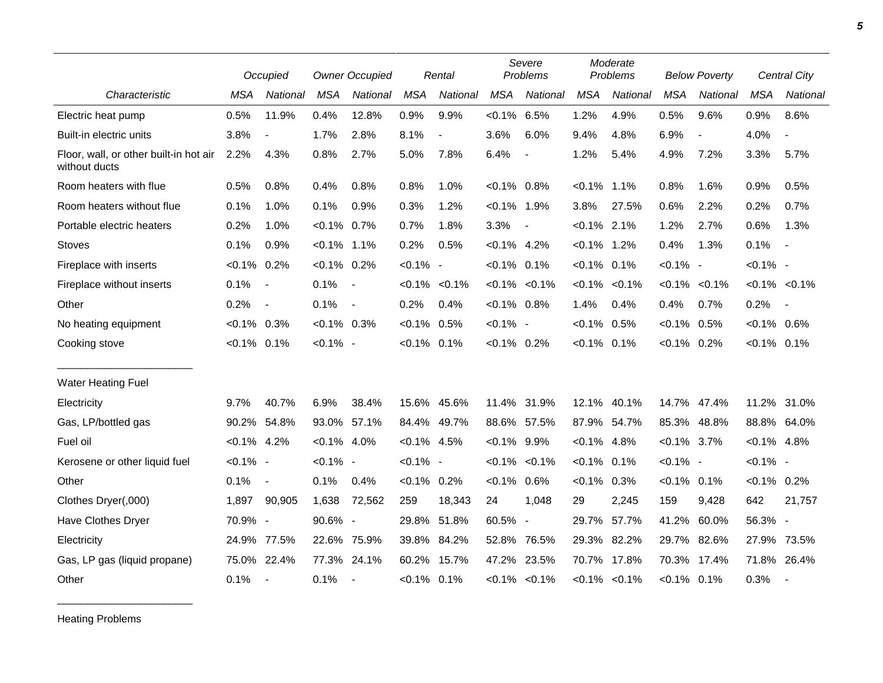|                                                         |                | Occupied                 |                | <b>Owner Occupied</b> |                | Rental                   | Severe<br>Problems |                          |                | Moderate<br>Problems | <b>Below Poverty</b> |                |                | <b>Central City</b>      |
|---------------------------------------------------------|----------------|--------------------------|----------------|-----------------------|----------------|--------------------------|--------------------|--------------------------|----------------|----------------------|----------------------|----------------|----------------|--------------------------|
| Characteristic                                          | <b>MSA</b>     | National                 | <b>MSA</b>     | National              | <b>MSA</b>     | National                 | <b>MSA</b>         | National                 | <b>MSA</b>     | National             | <b>MSA</b>           | National       | <b>MSA</b>     | National                 |
| Electric heat pump                                      | 0.5%           | 11.9%                    | 0.4%           | 12.8%                 | 0.9%           | 9.9%                     | $< 0.1\%$ 6.5%     |                          | 1.2%           | 4.9%                 | 0.5%                 | 9.6%           | 0.9%           | 8.6%                     |
| Built-in electric units                                 | 3.8%           | $\overline{\phantom{a}}$ | 1.7%           | 2.8%                  | 8.1%           | $\overline{\phantom{a}}$ | 3.6%               | 6.0%                     | 9.4%           | 4.8%                 | 6.9%                 | $\blacksquare$ | 4.0%           | $\overline{\phantom{a}}$ |
| Floor, wall, or other built-in hot air<br>without ducts | 2.2%           | 4.3%                     | 0.8%           | 2.7%                  | 5.0%           | 7.8%                     | 6.4%               | $\blacksquare$           | 1.2%           | 5.4%                 | 4.9%                 | 7.2%           | 3.3%           | 5.7%                     |
| Room heaters with flue                                  | 0.5%           | 0.8%                     | 0.4%           | 0.8%                  | 0.8%           | 1.0%                     | $< 0.1\%$ 0.8%     |                          | $< 0.1\%$      | 1.1%                 | 0.8%                 | 1.6%           | 0.9%           | 0.5%                     |
| Room heaters without flue                               | 0.1%           | 1.0%                     | 0.1%           | 0.9%                  | 0.3%           | 1.2%                     | $< 0.1\%$ 1.9%     |                          | 3.8%           | 27.5%                | 0.6%                 | 2.2%           | 0.2%           | 0.7%                     |
| Portable electric heaters                               | 0.2%           | 1.0%                     | $< 0.1\%$ 0.7% |                       | 0.7%           | 1.8%                     | 3.3%               | $\overline{\phantom{a}}$ | $< 0.1\%$ 2.1% |                      | 1.2%                 | 2.7%           | 0.6%           | 1.3%                     |
| <b>Stoves</b>                                           | 0.1%           | 0.9%                     | $< 0.1\%$ 1.1% |                       | 0.2%           | 0.5%                     | $< 0.1\%$ 4.2%     |                          | $< 0.1\%$ 1.2% |                      | 0.4%                 | 1.3%           | 0.1%           | $\sim$                   |
| Fireplace with inserts                                  | $< 0.1\%$      | 0.2%                     | $< 0.1\%$ 0.2% |                       | $< 0.1\%$ -    |                          | $< 0.1\%$ 0.1%     |                          | $< 0.1\%$      | 0.1%                 | $< 0.1\%$ -          |                | $< 0.1\%$ -    |                          |
| Fireplace without inserts                               | 0.1%           | $\blacksquare$           | 0.1%           | $\sim$ $-$            |                | $< 0.1\%$ $< 0.1\%$      |                    | $< 0.1\%$ $< 0.1\%$      | $< 0.1\%$      | $< 0.1\%$            | $< 0.1\%$            | $< 0.1\%$      |                | $< 0.1\%$ $< 0.1\%$      |
| Other                                                   | 0.2%           | $\overline{\phantom{a}}$ | 0.1%           | $\sim$ $-$            | 0.2%           | 0.4%                     | $< 0.1\%$ 0.8%     |                          | 1.4%           | 0.4%                 | 0.4%                 | 0.7%           | 0.2%           | $\sim$                   |
| No heating equipment                                    | $< 0.1\%$      | 0.3%                     | $< 0.1\%$ 0.3% |                       | $< 0.1\%$ 0.5% |                          | $< 0.1\%$ -        |                          | $< 0.1\%$      | 0.5%                 | $< 0.1\%$ 0.5%       |                | $< 0.1\%$ 0.6% |                          |
| Cooking stove                                           | $< 0.1\%$ 0.1% |                          | $< 0.1\%$ -    |                       | $< 0.1\%$ 0.1% |                          | $< 0.1\%$ 0.2%     |                          | $< 0.1\%$ 0.1% |                      | $< 0.1\%$ 0.2%       |                | $< 0.1\%$ 0.1% |                          |
| Water Heating Fuel                                      |                |                          |                |                       |                |                          |                    |                          |                |                      |                      |                |                |                          |
| Electricity                                             | 9.7%           | 40.7%                    | 6.9%           | 38.4%                 |                | 15.6% 45.6%              |                    | 11.4% 31.9%              | 12.1%          | 40.1%                | 14.7% 47.4%          |                |                | 11.2% 31.0%              |
| Gas, LP/bottled gas                                     | 90.2%          | 54.8%                    | 93.0% 57.1%    |                       |                | 84.4% 49.7%              |                    | 88.6% 57.5%              | 87.9% 54.7%    |                      | 85.3% 48.8%          |                |                | 88.8% 64.0%              |
| Fuel oil                                                | $< 0.1\%$ 4.2% |                          | $< 0.1\%$ 4.0% |                       | $< 0.1\%$ 4.5% |                          | $< 0.1\%$ 9.9%     |                          | $< 0.1\%$ 4.8% |                      | $< 0.1\%$ 3.7%       |                | $< 0.1\%$ 4.8% |                          |
| Kerosene or other liquid fuel                           | $< 0.1\%$ -    |                          | $< 0.1\%$ -    |                       | $< 0.1\%$ -    |                          |                    | $< 0.1\%$ $< 0.1\%$      | $< 0.1\%$      | 0.1%                 | $< 0.1\%$ -          |                | $< 0.1\%$ -    |                          |
| Other                                                   | 0.1%           | $\overline{\phantom{a}}$ | 0.1%           | 0.4%                  | $< 0.1\%$ 0.2% |                          | $< 0.1\%$ 0.6%     |                          | $< 0.1\%$      | 0.3%                 | $< 0.1\%$ 0.1%       |                | $< 0.1\%$ 0.2% |                          |
| Clothes Dryer(,000)                                     | 1,897          | 90,905                   | 1,638          | 72,562                | 259            | 18,343                   | 24                 | 1,048                    | 29             | 2,245                | 159                  | 9,428          | 642            | 21,757                   |
| Have Clothes Dryer                                      | 70.9% -        |                          | 90.6% -        |                       |                | 29.8% 51.8%              | 60.5%              | $\overline{\phantom{a}}$ | 29.7%          | 57.7%                | 41.2% 60.0%          |                | 56.3% -        |                          |
| Electricity                                             | 24.9%          | 77.5%                    | 22.6% 75.9%    |                       |                | 39.8% 84.2%              | 52.8%              | 76.5%                    | 29.3%          | 82.2%                | 29.7% 82.6%          |                |                | 27.9% 73.5%              |
| Gas, LP gas (liquid propane)                            | 75.0%          | 22.4%                    | 77.3% 24.1%    |                       |                | 60.2% 15.7%              | 47.2%              | 23.5%                    |                | 70.7% 17.8%          | 70.3%                | 17.4%          | 71.8% 26.4%    |                          |
| Other                                                   | 0.1%           | $\blacksquare$           | 0.1%           |                       | $< 0.1\%$ 0.1% |                          |                    | $< 0.1\%$ $< 0.1\%$      |                | $< 0.1\%$ $< 0.1\%$  | $< 0.1\%$ 0.1%       |                | 0.3%           | $\sim$                   |

Heating Problems

\_\_\_\_\_\_\_\_\_\_\_\_\_\_\_\_\_\_\_\_\_\_\_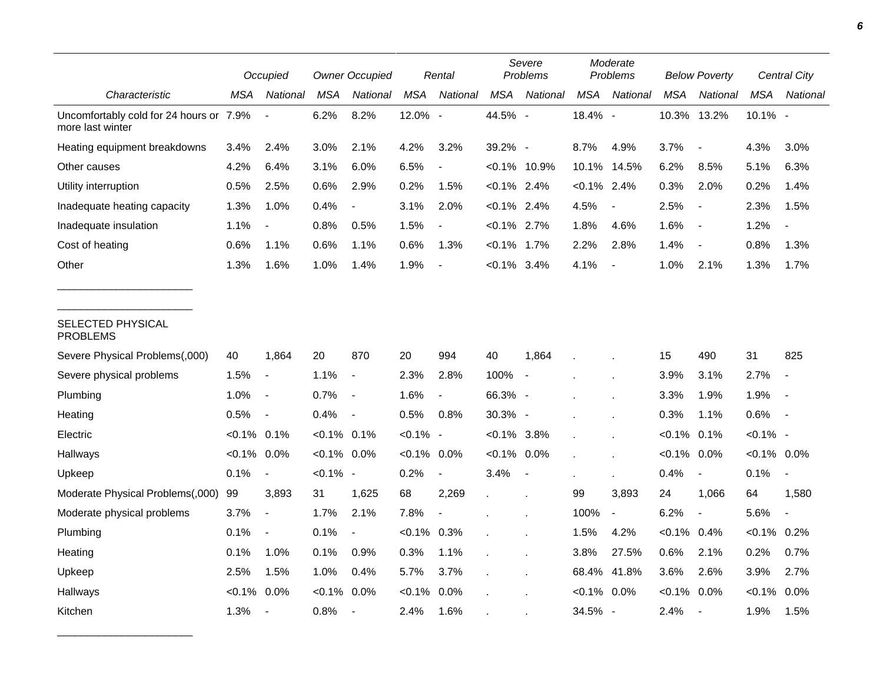|                                                             | <b>Owner Occupied</b><br>Occupied |                          |                | Rental                   |             |                          | Severe<br>Problems | Moderate<br>Problems |                |                          | <b>Below Poverty</b> | Central City             |                |                          |
|-------------------------------------------------------------|-----------------------------------|--------------------------|----------------|--------------------------|-------------|--------------------------|--------------------|----------------------|----------------|--------------------------|----------------------|--------------------------|----------------|--------------------------|
| Characteristic                                              | MSA                               | National                 | MSA            | National                 | <b>MSA</b>  | National                 | <b>MSA</b>         | National             | <b>MSA</b>     | National                 | <b>MSA</b>           | <b>National</b>          | MSA            | National                 |
| Uncomfortably cold for 24 hours or 7.9%<br>more last winter |                                   |                          | 6.2%           | 8.2%                     | 12.0% -     |                          | 44.5% -            |                      | 18.4% -        |                          | 10.3%                | 13.2%                    | 10.1% -        |                          |
| Heating equipment breakdowns                                | 3.4%                              | 2.4%                     | 3.0%           | 2.1%                     | 4.2%        | 3.2%                     | 39.2% -            |                      | 8.7%           | 4.9%                     | 3.7%                 | $\blacksquare$           | 4.3%           | 3.0%                     |
| Other causes                                                | 4.2%                              | 6.4%                     | 3.1%           | 6.0%                     | 6.5%        |                          | $<0.1\%$ 10.9%     |                      | 10.1%          | 14.5%                    | 6.2%                 | 8.5%                     | 5.1%           | 6.3%                     |
| Utility interruption                                        | 0.5%                              | 2.5%                     | 0.6%           | 2.9%                     | 0.2%        | 1.5%                     | $< 0.1\%$ 2.4%     |                      | $< 0.1\%$ 2.4% |                          | 0.3%                 | 2.0%                     | 0.2%           | 1.4%                     |
| Inadequate heating capacity                                 | 1.3%                              | 1.0%                     | 0.4%           | $\blacksquare$           | 3.1%        | 2.0%                     | $< 0.1\%$ 2.4%     |                      | 4.5%           | $\overline{\phantom{a}}$ | 2.5%                 | $\overline{\phantom{a}}$ | 2.3%           | 1.5%                     |
| Inadequate insulation                                       | 1.1%                              | $\overline{\phantom{a}}$ | 0.8%           | 0.5%                     | 1.5%        | $\blacksquare$           | $< 0.1\%$ 2.7%     |                      | 1.8%           | 4.6%                     | 1.6%                 | $\overline{\phantom{a}}$ | 1.2%           | $\overline{\phantom{a}}$ |
| Cost of heating                                             | 0.6%                              | 1.1%                     | 0.6%           | 1.1%                     | 0.6%        | 1.3%                     | $< 0.1\%$ 1.7%     |                      | 2.2%           | 2.8%                     | 1.4%                 | $\overline{\phantom{a}}$ | 0.8%           | 1.3%                     |
| Other                                                       | 1.3%                              | 1.6%                     | 1.0%           | 1.4%                     | 1.9%        | $\overline{a}$           | $< 0.1\%$ 3.4%     |                      | 4.1%           | $\overline{a}$           | 1.0%                 | 2.1%                     | 1.3%           | 1.7%                     |
| SELECTED PHYSICAL<br><b>PROBLEMS</b>                        |                                   |                          |                |                          |             |                          |                    |                      |                |                          |                      |                          |                |                          |
| Severe Physical Problems(,000)                              | 40                                | 1,864                    | 20             | 870                      | 20          | 994                      | 40                 | 1,864                |                |                          | 15                   | 490                      | 31             | 825                      |
| Severe physical problems                                    | 1.5%                              | $\overline{\phantom{a}}$ | 1.1%           | $\overline{\phantom{a}}$ | 2.3%        | 2.8%                     | 100%               |                      |                |                          | 3.9%                 | 3.1%                     | 2.7%           | $\blacksquare$           |
| Plumbing                                                    | 1.0%                              | $\overline{\phantom{a}}$ | 0.7%           | $\overline{\phantom{a}}$ | 1.6%        | $\overline{\phantom{a}}$ | 66.3% -            |                      |                |                          | 3.3%                 | 1.9%                     | 1.9%           | $\overline{\phantom{a}}$ |
| Heating                                                     | 0.5%                              | $\blacksquare$           | 0.4%           | $\overline{\phantom{a}}$ | 0.5%        | 0.8%                     | 30.3% -            |                      |                |                          | 0.3%                 | 1.1%                     | 0.6%           | $\blacksquare$           |
| Electric                                                    | $< 0.1\%$ 0.1%                    |                          | $< 0.1\%$ 0.1% |                          | $< 0.1\%$ - |                          | $< 0.1\%$ 3.8%     |                      |                | ×                        | $< 0.1\%$            | 0.1%                     | $< 0.1\%$ -    |                          |
| Hallways                                                    | $< 0.1\%$ 0.0%                    |                          | $< 0.1\%$ 0.0% |                          | $< 0.1\%$   | 0.0%                     | $< 0.1\%$ 0.0%     |                      |                |                          | $< 0.1\%$            | 0.0%                     | $< 0.1\%$ 0.0% |                          |
| Upkeep                                                      | 0.1%                              | $\blacksquare$           | $< 0.1\%$ -    |                          | 0.2%        | $\blacksquare$           | 3.4%               | $\blacksquare$       |                |                          | 0.4%                 | $\overline{\phantom{a}}$ | 0.1%           |                          |
| Moderate Physical Problems(,000)                            | 99                                | 3,893                    | 31             | 1,625                    | 68          | 2,269                    |                    |                      | 99             | 3,893                    | 24                   | 1,066                    | 64             | 1,580                    |
| Moderate physical problems                                  | 3.7%                              | $\blacksquare$           | 1.7%           | 2.1%                     | 7.8%        | $\overline{\phantom{a}}$ |                    |                      | 100%           | $\overline{\phantom{a}}$ | 6.2%                 | $\overline{\phantom{a}}$ | 5.6%           | $\blacksquare$           |
| Plumbing                                                    | 0.1%                              | $\blacksquare$           | 0.1%           | $\overline{\phantom{a}}$ | $< 0.1\%$   | 0.3%                     |                    |                      | 1.5%           | 4.2%                     | $< 0.1\%$ 0.4%       |                          | $<0.1\%$ 0.2%  |                          |
| Heating                                                     | 0.1%                              | 1.0%                     | 0.1%           | 0.9%                     | 0.3%        | 1.1%                     |                    |                      | 3.8%           | 27.5%                    | 0.6%                 | 2.1%                     | 0.2%           | 0.7%                     |
| Upkeep                                                      | 2.5%                              | 1.5%                     | 1.0%           | 0.4%                     | 5.7%        | 3.7%                     |                    |                      | 68.4%          | 41.8%                    | 3.6%                 | 2.6%                     | 3.9%           | 2.7%                     |
| Hallways                                                    | $<0.1\%$                          | 0.0%                     | $< 0.1\%$      | 0.0%                     | $< 0.1\%$   | 0.0%                     |                    |                      | $< 0.1\%$ 0.0% |                          | $< 0.1\%$            | 0.0%                     | $< 0.1\%$      | $0.0\%$                  |
| Kitchen                                                     | 1.3%                              | $\overline{\phantom{a}}$ | 0.8%           | $\blacksquare$           | 2.4%        | 1.6%                     |                    |                      | 34.5%          | $\overline{\phantom{a}}$ | 2.4%                 | $\overline{\phantom{a}}$ | 1.9%           | 1.5%                     |

\_\_\_\_\_\_\_\_\_\_\_\_\_\_\_\_\_\_\_\_\_\_\_